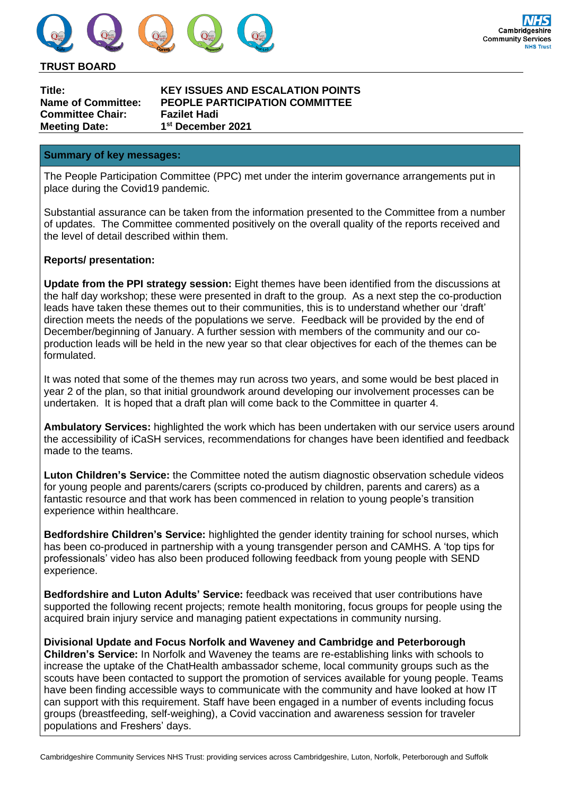

#### **TRUST BOARD**

**Committee Chair: Fazilet Hadi Meeting Date: 1**

**Title: KEY ISSUES AND ESCALATION POINTS Name of Committee: PEOPLE PARTICIPATION COMMITTEE st December 2021**

#### **Summary of key messages:**

The People Participation Committee (PPC) met under the interim governance arrangements put in place during the Covid19 pandemic.

Substantial assurance can be taken from the information presented to the Committee from a number of updates. The Committee commented positively on the overall quality of the reports received and the level of detail described within them.

#### **Reports/ presentation:**

**Update from the PPI strategy session:** Eight themes have been identified from the discussions at the half day workshop; these were presented in draft to the group. As a next step the co-production leads have taken these themes out to their communities, this is to understand whether our 'draft' direction meets the needs of the populations we serve. Feedback will be provided by the end of December/beginning of January. A further session with members of the community and our coproduction leads will be held in the new year so that clear objectives for each of the themes can be formulated.

It was noted that some of the themes may run across two years, and some would be best placed in year 2 of the plan, so that initial groundwork around developing our involvement processes can be undertaken. It is hoped that a draft plan will come back to the Committee in quarter 4.

**Ambulatory Services:** highlighted the work which has been undertaken with our service users around the accessibility of iCaSH services, recommendations for changes have been identified and feedback made to the teams.

**Luton Children's Service:** the Committee noted the autism diagnostic observation schedule videos for young people and parents/carers (scripts co-produced by children, parents and carers) as a fantastic resource and that work has been commenced in relation to young people's transition experience within healthcare.

**Bedfordshire Children's Service:** highlighted the gender identity training for school nurses, which has been co-produced in partnership with a young transgender person and CAMHS. A 'top tips for professionals' video has also been produced following feedback from young people with SEND experience.

**Bedfordshire and Luton Adults' Service:** feedback was received that user contributions have supported the following recent projects; remote health monitoring, focus groups for people using the acquired brain injury service and managing patient expectations in community nursing.

**Divisional Update and Focus Norfolk and Waveney and Cambridge and Peterborough Children's Service:** In Norfolk and Waveney the teams are re-establishing links with schools to increase the uptake of the ChatHealth ambassador scheme, local community groups such as the scouts have been contacted to support the promotion of services available for young people. Teams have been finding accessible ways to communicate with the community and have looked at how IT can support with this requirement. Staff have been engaged in a number of events including focus groups (breastfeeding, self-weighing), a Covid vaccination and awareness session for traveler populations and Freshers' days.